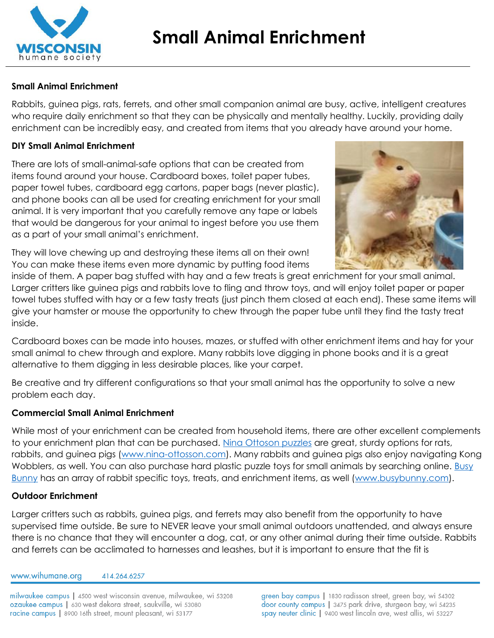

# **Small Animal Enrichment**

Rabbits, guinea pigs, rats, ferrets, and other small companion animal are busy, active, intelligent creatures who require daily enrichment so that they can be physically and mentally healthy. Luckily, providing daily enrichment can be incredibly easy, and created from items that you already have around your home.

### **DIY Small Animal Enrichment**

There are lots of small-animal-safe options that can be created from items found around your house. Cardboard boxes, toilet paper tubes, paper towel tubes, cardboard egg cartons, paper bags (never plastic), and phone books can all be used for creating enrichment for your small animal. It is very important that you carefully remove any tape or labels that would be dangerous for your animal to ingest before you use them as a part of your small animal's enrichment.

They will love chewing up and destroying these items all on their own! You can make these items even more dynamic by putting food items



inside of them. A paper bag stuffed with hay and a few treats is great enrichment for your small animal. Larger critters like guinea pigs and rabbits love to fling and throw toys, and will enjoy toilet paper or paper towel tubes stuffed with hay or a few tasty treats (just pinch them closed at each end). These same items will give your hamster or mouse the opportunity to chew through the paper tube until they find the tasty treat inside.

Cardboard boxes can be made into houses, mazes, or stuffed with other enrichment items and hay for your small animal to chew through and explore. Many rabbits love digging in phone books and it is a great alternative to them digging in less desirable places, like your carpet.

Be creative and try different configurations so that your small animal has the opportunity to solve a new problem each day.

#### **Commercial Small Animal Enrichment**

While most of your enrichment can be created from household items, there are other excellent complements to your enrichment plan that can be purchased. [Nina Ottoson puzzles](https://www.nina-ottosson.com/) are great, sturdy options for rats, rabbits, and guinea pigs [\(www.nina-ottosson.com\)](http://www.nina-ottosson.com/). Many rabbits and guinea pigs also enjoy navigating Kong Wobblers, as well. You can also purchase hard plastic puzzle toys for small animals by searching online. [Busy](http://www.busybunny.com/)  [Bunny](http://www.busybunny.com/) has an array of rabbit specific toys, treats, and enrichment items, as well [\(www.busybunny.com\)](http://www.busybunny.com/).

#### **Outdoor Enrichment**

Larger critters such as rabbits, guinea pigs, and ferrets may also benefit from the opportunity to have supervised time outside. Be sure to NEVER leave your small animal outdoors unattended, and always ensure there is no chance that they will encounter a dog, cat, or any other animal during their time outside. Rabbits and ferrets can be acclimated to harnesses and leashes, but it is important to ensure that the fit is

www.wihumane.org 414.264.6257

milwaukee campus | 4500 west wisconsin avenue, milwaukee, wi 53208 ozaukee campus | 630 west dekora street, saukville, wi 53080 racine campus | 8900 16th street, mount pleasant, wi 53177